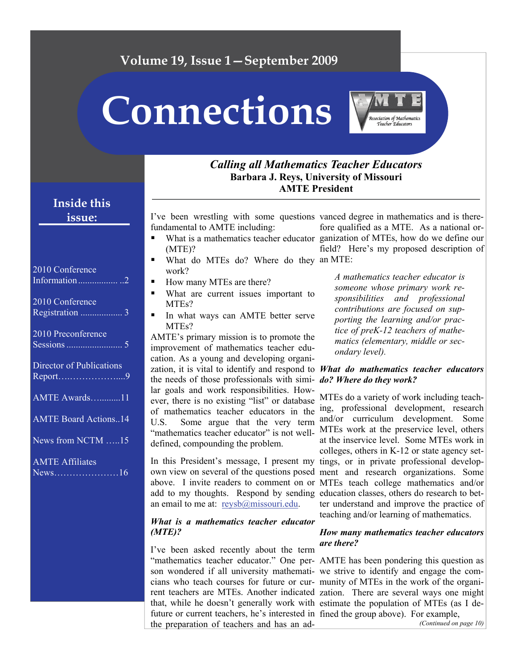## **Volume 19, Issue 1—September 2009**

**Connections** 



#### *Calling all Mathematics Teacher Educators*  **Barbara J. Reys, University of Missouri AMTE President**

### **Inside this issue:**

| 2010 Conference                     |
|-------------------------------------|
| 2010 Conference                     |
| 2010 Preconference                  |
| Director of Publications<br>Report9 |
| AMTE Awards11                       |
| <b>AMTE Board Actions14</b>         |
| News from NCTM 15                   |
| <b>AMTE Affiliates</b><br>$News$ 16 |

I've been wrestling with some questions vanced degree in mathematics and is therefundamental to AMTE including:

- (MTE)?
- What do MTEs do? Where do they an MTE: work?
- How many MTEs are there?
- What are current issues important to MTEs?
- In what ways can AMTE better serve MTEs?

AMTE's primary mission is to promote the improvement of mathematics teacher education. As a young and developing organization, it is vital to identify and respond to *What do mathematics teacher educators*  the needs of those professionals with similar goals and work responsibilities. However, there is no existing "list" or database of mathematics teacher educators in the U.S. Some argue that the very term "mathematics teacher educator" is not welldefined, compounding the problem.

an email to me at: [reysb@missouri.edu](mailto:reysb@missouri.edu).

#### *What is a mathematics teacher educator (MTE)?*

I've been asked recently about the term son wondered if all university mathemati-we strive to identify and engage the comcians who teach courses for future or cur-munity of MTEs in the work of the organithat, while he doesn't generally work with estimate the population of MTEs (as I defuture or current teachers, he's interested in fined the group above). For example, the preparation of teachers and has an ad-

What is a mathematics teacher educator ganization of MTEs, how do we define our fore qualified as a MTE. As a national orfield? Here's my proposed description of

> *A mathematics teacher educator is someone whose primary work responsibilities and professional contributions are focused on supporting the learning and/or practice of preK-12 teachers of mathematics (elementary, middle or secondary level).*

# *do? Where do they work?*

In this President's message, I present my tings, or in private professional developown view on several of the questions posed ment and research organizations. Some above. I invite readers to comment on or MTEs teach college mathematics and/or add to my thoughts. Respond by sending education classes, others do research to bet-MTEs do a variety of work including teaching, professional development, research and/or curriculum development. Some MTEs work at the preservice level, others at the inservice level. Some MTEs work in colleges, others in K-12 or state agency setter understand and improve the practice of teaching and/or learning of mathematics.

#### *How many mathematics teacher educators are there?*

"mathematics teacher educator." One per-AMTE has been pondering this question as rent teachers are MTEs. Another indicated zation. There are several ways one might *(Continued on page 10)*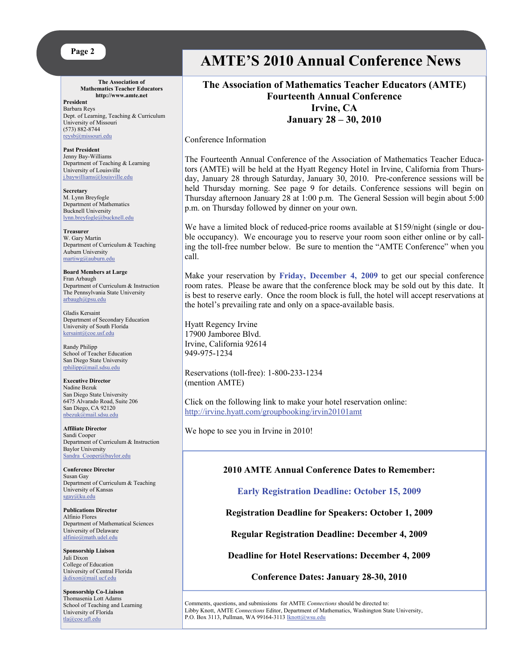

**The Association of Mathematics Teacher Educators http://www.amte.net** 

**President**  Barbara Reys Dept. of Learning, Teaching & Curriculum University of Missouri (573) 882-8744 [reysb@missouri.edu](mailto:reysb@missouri.edu)

**Past President** Jenny Bay-Williams Department of Teaching & Learning University of Louisville [j.baywilliams@louisville.edu](mailto:j.baywilliams@louisville.edu) 

**Secretary** M. Lynn Breyfogle Department of Mathematics Bucknell University [lynn.breyfogle@bucknell.edu](mailto:lynn.breyfogle@bucknell.edu)

**Treasurer** W. Gary Martin Department of Curriculum & Teaching Auburn University [martiwg@auburn.edu](mailto:martiwg@auburn.edu)

**Board Members at Large**  Fran Arbaugh Department of Curriculum & Instruction The Pennsylvania State University arbaugh@psu.edu

Gladis Kersaint Department of Secondary Education University of South Florida [kersaint@coe.usf.edu](mailto:kersaint@coe.usf.edu)

Randy Philipp School of Teacher Education San Diego State University [rphilipp@mail.sdsu.edu](mailto:rphilipp@mail.sdsu.edu)

**Executive Director** Nadine Bezuk San Diego State University 6475 Alvarado Road, Suite 206 San Diego, CA 92120 [nbezuk@mail.sdsu.edu](mailto:nbezuk@mail.sdsu.edu)

**Affiliate Director**  Sandi Cooper Department of Curriculum & Instruction Baylor University Sandra Cooper@baylor.edu

**Conference Director**  Susan Gay Department of Curriculum & Teaching University of Kansas [sgay@ku.edu](mailto:sgay@ku.edu)

**Publications Director**  Alfinio Flores Department of Mathematical Sciences University of Delaware [alfinio@math.udel.edu](mailto:alfinio@math.udel.edu)

**Sponsorship Liaison**  Juli Dixon College of Education University of Central Florida [jkdixon@mail.ucf.edu](mailto:jkdixon@mail.ucf.edu)

**Sponsorship Co-Liaison**  Thomasenia Lott Adams School of Teaching and Learning University of Florida tla@coe.ufl.edu

# **AMTE'S 2010 Annual Conference News**

#### **The Association of Mathematics Teacher Educators (AMTE) Fourteenth Annual Conference Irvine, CA January 28 – 30, 2010**

Conference Information

The Fourteenth Annual Conference of the Association of Mathematics Teacher Educators (AMTE) will be held at the Hyatt Regency Hotel in Irvine, California from Thursday, January 28 through Saturday, January 30, 2010. Pre-conference sessions will be held Thursday morning. See page 9 for details. Conference sessions will begin on Thursday afternoon January 28 at 1:00 p.m. The General Session will begin about 5:00 p.m. on Thursday followed by dinner on your own.

We have a limited block of reduced-price rooms available at \$159/night (single or double occupancy). We encourage you to reserve your room soon either online or by calling the toll-free number below. Be sure to mention the "AMTE Conference" when you call.

Make your reservation by **Friday, December 4, 2009** to get our special conference room rates. Please be aware that the conference block may be sold out by this date. It is best to reserve early. Once the room block is full, the hotel will accept reservations at the hotel's prevailing rate and only on a space-available basis.

Hyatt Regency Irvine 17900 Jamboree Blvd. Irvine, California 92614 949-975-1234

Reservations (toll-free): 1-800-233-1234 (mention AMTE)

Click on the following link to make your hotel reservation online: <http://irvine.hyatt.com/groupbooking/irvin20101amt>

We hope to see you in Irvine in 2010!

#### **2010 AMTE Annual Conference Dates to Remember:**

**Early Registration Deadline: October 15, 2009** 

**Registration Deadline for Speakers: October 1, 2009** 

**Regular Registration Deadline: December 4, 2009** 

**Deadline for Hotel Reservations: December 4, 2009** 

**Conference Dates: January 28-30, 2010**

Comments, questions, and submissions for AMTE *Connections* should be directed to: Libby Knott, AMTE *Connections* Editor, Department of Mathematics, Washington State University, P.O. Box 3113, Pullman, WA 99164-3113 [lknott@wsu.edu](mailto:lknott@wsu.edu)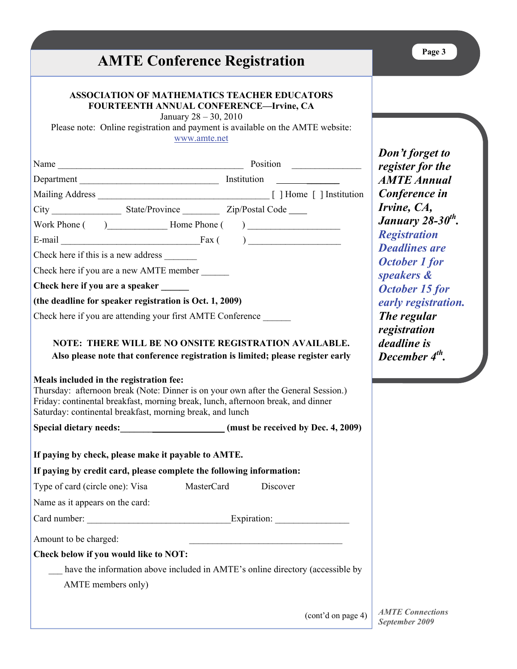#### **ASSOCIATION OF MATHEMATICS TEACHER EDUCATORS FOURTEENTH ANNUAL CONFERENCE—Irvine, CA**

January 28 – 30, 2010

Please note: Online registration and payment is available on the AMTE website: [www.amte.net](http://www.amte.net/)

|                                                 | Name and the contract of the contract of the contract of the contract of the contract of the contract of the contract of the contract of the contract of the contract of the contract of the contract of the contract of the c |                                                                                                                                                                                                                                                           |
|-------------------------------------------------|--------------------------------------------------------------------------------------------------------------------------------------------------------------------------------------------------------------------------------|-----------------------------------------------------------------------------------------------------------------------------------------------------------------------------------------------------------------------------------------------------------|
|                                                 |                                                                                                                                                                                                                                |                                                                                                                                                                                                                                                           |
|                                                 |                                                                                                                                                                                                                                |                                                                                                                                                                                                                                                           |
|                                                 |                                                                                                                                                                                                                                |                                                                                                                                                                                                                                                           |
|                                                 |                                                                                                                                                                                                                                | Work Phone $( )$ Home Phone $( )$                                                                                                                                                                                                                         |
|                                                 |                                                                                                                                                                                                                                | E-mail Fax $($ $)$ $)$                                                                                                                                                                                                                                    |
|                                                 | Check here if this is a new address                                                                                                                                                                                            |                                                                                                                                                                                                                                                           |
|                                                 | Check here if you are a new AMTE member                                                                                                                                                                                        |                                                                                                                                                                                                                                                           |
|                                                 | Check here if you are a speaker                                                                                                                                                                                                |                                                                                                                                                                                                                                                           |
|                                                 | (the deadline for speaker registration is Oct. 1, 2009)                                                                                                                                                                        |                                                                                                                                                                                                                                                           |
|                                                 | Check here if you are attending your first AMTE Conference                                                                                                                                                                     |                                                                                                                                                                                                                                                           |
|                                                 | Meals included in the registration fee:<br>Saturday: continental breakfast, morning break, and lunch                                                                                                                           | Also please note that conference registration is limited; please register early<br>Thursday: afternoon break (Note: Dinner is on your own after the General Session.)<br>Friday: continental breakfast, morning break, lunch, afternoon break, and dinner |
|                                                 |                                                                                                                                                                                                                                |                                                                                                                                                                                                                                                           |
|                                                 |                                                                                                                                                                                                                                | Special dietary needs: ________________________(must be received by Dec. 4, 2009)                                                                                                                                                                         |
|                                                 | If paying by check, please make it payable to AMTE.                                                                                                                                                                            |                                                                                                                                                                                                                                                           |
|                                                 | If paying by credit card, please complete the following information:                                                                                                                                                           |                                                                                                                                                                                                                                                           |
|                                                 | Type of card (circle one): Visa MasterCard                                                                                                                                                                                     | Discover                                                                                                                                                                                                                                                  |
|                                                 |                                                                                                                                                                                                                                |                                                                                                                                                                                                                                                           |
| Name as it appears on the card:<br>Card number: |                                                                                                                                                                                                                                |                                                                                                                                                                                                                                                           |
|                                                 |                                                                                                                                                                                                                                | Expiration:                                                                                                                                                                                                                                               |
| Amount to be charged:                           |                                                                                                                                                                                                                                |                                                                                                                                                                                                                                                           |
|                                                 | Check below if you would like to NOT:                                                                                                                                                                                          |                                                                                                                                                                                                                                                           |
|                                                 |                                                                                                                                                                                                                                | have the information above included in AMTE's online directory (accessible by                                                                                                                                                                             |
|                                                 | AMTE members only)                                                                                                                                                                                                             |                                                                                                                                                                                                                                                           |

*Don't forget to register for the AMTE Annual Conference in Irvine, CA, January 28-30th. Registration Deadlines are October 1 for speakers & October 15 for early registration. The regular registration deadline is December 4th.* 

**Page 3** 

*September 2009*  (cont'd on page 4)

*AMTE Connections*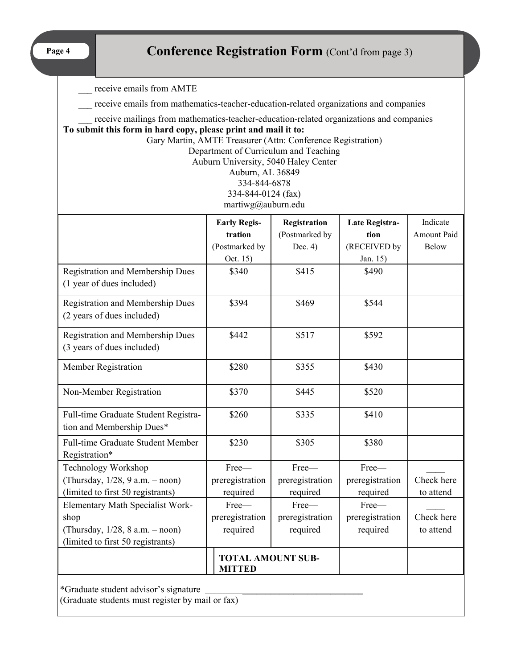**Page 4** 

# **Conference Registration Form** (Cont'd from page 3)

\_\_\_ receive emails from AMTE

receive emails from mathematics-teacher-education-related organizations and companies

receive mailings from mathematics-teacher-education-related organizations and companies

**To submit this form in hard copy, please print and mail it to:** 

Gary Martin, AMTE Treasurer (Attn: Conference Registration)

Department of Curriculum and Teaching

Auburn University, 5040 Haley Center

Auburn, AL 36849 334-844-6878

334-844-0124 (fax)

martiwg@auburn.edu

|                                                                      | <b>Early Regis-</b>                       | Registration    | Late Registra-  | Indicate     |
|----------------------------------------------------------------------|-------------------------------------------|-----------------|-----------------|--------------|
|                                                                      | tration                                   | (Postmarked by  | tion            | Amount Paid  |
|                                                                      | (Postmarked by                            | Dec. $4$ )      | (RECEIVED by    | <b>Below</b> |
|                                                                      | Oct. 15)                                  |                 | Jan. 15)        |              |
| <b>Registration and Membership Dues</b><br>(1 year of dues included) | \$340                                     | \$415           | \$490           |              |
| Registration and Membership Dues<br>(2 years of dues included)       | \$394                                     | \$469           | \$544           |              |
| Registration and Membership Dues<br>(3 years of dues included)       | \$442                                     | \$517           | \$592           |              |
| Member Registration                                                  | \$280                                     | \$355           | \$430           |              |
| Non-Member Registration                                              | \$370                                     | \$445           | \$520           |              |
| Full-time Graduate Student Registra-<br>tion and Membership Dues*    | \$260                                     | \$335           | \$410           |              |
| Full-time Graduate Student Member<br>Registration*                   | \$230                                     | \$305           | \$380           |              |
| Technology Workshop                                                  | Free-                                     | Free-           | Free-           |              |
| (Thursday, 1/28, 9 a.m. - noon)                                      | preregistration                           | preregistration | preregistration | Check here   |
| (limited to first 50 registrants)                                    | required                                  | required        | required        | to attend    |
| Elementary Math Specialist Work-                                     | Free-                                     | Free-           | Free-           |              |
| shop                                                                 | preregistration                           | preregistration | preregistration | Check here   |
| (Thursday, 1/28, 8 a.m. - noon)                                      | required                                  | required        | required        | to attend    |
| (limited to first 50 registrants)                                    |                                           |                 |                 |              |
|                                                                      | <b>TOTAL AMOUNT SUB-</b><br><b>MITTED</b> |                 |                 |              |
| *Graduate student advisor's signature                                |                                           |                 |                 |              |

(Graduate students must register by mail or fax)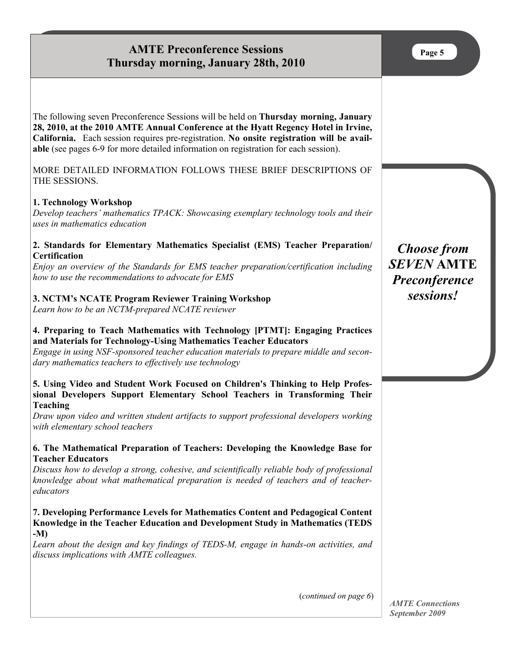### **AMTE Preconference Sessions Thursday morning, January 28th, 2010**

The following seven Preconference Sessions will be held on **Thursday morning, January 28, 2010, at the 2010 AMTE Annual Conference at the Hyatt Regency Hotel in Irvine, California.** Each session requires pre-registration. **No onsite registration will be available** (see pages 6-9 for more detailed information on registration for each session).

MORE DETAILED INFORMATION FOLLOWS THESE BRIEF DESCRIPTIONS OF THE SESSIONS.

#### **1. Technology Workshop**

*Develop teachers' mathematics TPACK: Showcasing exemplary technology tools and their uses in mathematics education* 

#### **2. Standards for Elementary Mathematics Specialist (EMS) Teacher Preparation/ Certification**

*Enjoy an overview of the Standards for EMS teacher preparation/certification including how to use the recommendations to advocate for EMS* 

#### **3. NCTM's NCATE Program Reviewer Training Workshop**

*Learn how to be an NCTM-prepared NCATE reviewer* 

#### **4. Preparing to Teach Mathematics with Technology [PTMT]: Engaging Practices and Materials for Technology-Using Mathematics Teacher Educators**

*Engage in using NSF-sponsored teacher education materials to prepare middle and secondary mathematics teachers to effectively use technology* 

#### **5. Using Video and Student Work Focused on Children's Thinking to Help Professional Developers Support Elementary School Teachers in Transforming Their Teaching**

*Draw upon video and written student artifacts to support professional developers working with elementary school teachers* 

#### **6. The Mathematical Preparation of Teachers: Developing the Knowledge Base for Teacher Educators**

*Discuss how to develop a strong, cohesive, and scientifically reliable body of professional knowledge about what mathematical preparation is needed of teachers and of teachereducators* 

#### **7. Developing Performance Levels for Mathematics Content and Pedagogical Content Knowledge in the Teacher Education and Development Study in Mathematics (TEDS -M)**

*Learn about the design and key findings of TEDS-M, engage in hands-on activities, and discuss implications with AMTE colleagues.* 

(*continued on page 6*)

*Choose from SEVEN* **AMTE** *Preconference sessions!* 

*AMTE Connections September 2009*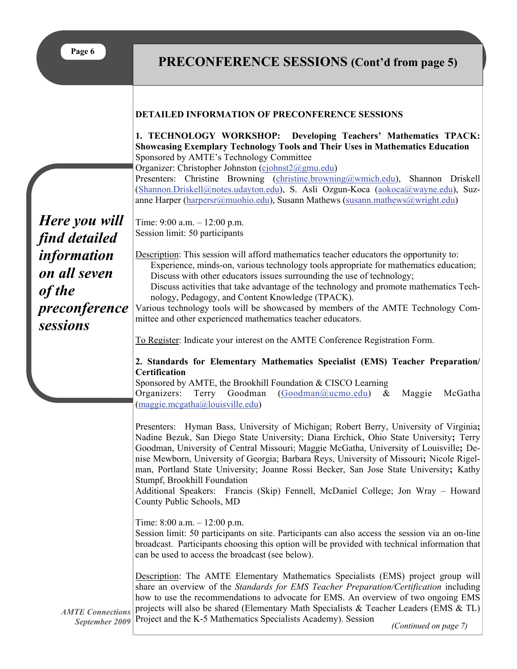**Page 6** 

# **PRECONFERENCE SESSIONS (Cont'd from page 5)**

|                                                                           | <b>DETAILED INFORMATION OF PRECONFERENCE SESSIONS</b>                                                                                                                                                                                                                                                                                                                                                                                                                                                                                                                                                          |
|---------------------------------------------------------------------------|----------------------------------------------------------------------------------------------------------------------------------------------------------------------------------------------------------------------------------------------------------------------------------------------------------------------------------------------------------------------------------------------------------------------------------------------------------------------------------------------------------------------------------------------------------------------------------------------------------------|
|                                                                           | 1. TECHNOLOGY WORKSHOP: Developing Teachers' Mathematics TPACK:<br>Showcasing Exemplary Technology Tools and Their Uses in Mathematics Education<br>Sponsored by AMTE's Technology Committee<br>Organizer: Christopher Johnston (cjohnst2@gmu.edu)<br>Presenters: Christine Browning (christine.browning@wmich.edu), Shannon Driskell<br>(Shannon.Driskell@notes.udayton.edu), S. Asli Ozgun-Koca (aokoca@wayne.edu), Suz-<br>anne Harper (harpersr@muohio.edu), Susann Mathews (susann.mathews@wright.edu)                                                                                                    |
| Here you will<br>find detailed                                            | Time: $9:00$ a.m. $-12:00$ p.m.<br>Session limit: 50 participants                                                                                                                                                                                                                                                                                                                                                                                                                                                                                                                                              |
| <i>information</i><br>on all seven<br>of the<br>preconference<br>sessions | Description: This session will afford mathematics teacher educators the opportunity to:<br>Experience, minds-on, various technology tools appropriate for mathematics education;<br>Discuss with other educators issues surrounding the use of technology;<br>Discuss activities that take advantage of the technology and promote mathematics Tech-<br>nology, Pedagogy, and Content Knowledge (TPACK).<br>Various technology tools will be showcased by members of the AMTE Technology Com-<br>mittee and other experienced mathematics teacher educators.                                                   |
|                                                                           | To Register: Indicate your interest on the AMTE Conference Registration Form.                                                                                                                                                                                                                                                                                                                                                                                                                                                                                                                                  |
|                                                                           | 2. Standards for Elementary Mathematics Specialist (EMS) Teacher Preparation/<br><b>Certification</b><br>Sponsored by AMTE, the Brookhill Foundation & CISCO Learning<br>Organizers: Terry Goodman<br>(Goodman@ucmo.edu)<br>$\&$<br>Maggie<br>McGatha<br>(maggie.mcgatha@lowisville.edu)                                                                                                                                                                                                                                                                                                                       |
|                                                                           | Presenters: Hyman Bass, University of Michigan; Robert Berry, University of Virginia;<br>Nadine Bezuk, San Diego State University; Diana Erchick, Ohio State University; Terry<br>Goodman, University of Central Missouri; Maggie McGatha, University of Louisville; De-<br>nise Mewborn, University of Georgia; Barbara Reys, University of Missouri; Nicole Rigel-<br>man, Portland State University; Joanne Rossi Becker, San Jose State University; Kathy<br>Stumpf, Brookhill Foundation<br>Additional Speakers: Francis (Skip) Fennell, McDaniel College; Jon Wray – Howard<br>County Public Schools, MD |
|                                                                           | Time: $8:00$ a.m. $-12:00$ p.m.<br>Session limit: 50 participants on site. Participants can also access the session via an on-line<br>broadcast. Participants choosing this option will be provided with technical information that<br>can be used to access the broadcast (see below).                                                                                                                                                                                                                                                                                                                        |
| <b>AMTE Connections</b><br>September 2009                                 | Description: The AMTE Elementary Mathematics Specialists (EMS) project group will<br>share an overview of the Standards for EMS Teacher Preparation/Certification including<br>how to use the recommendations to advocate for EMS. An overview of two ongoing EMS<br>projects will also be shared (Elementary Math Specialists & Teacher Leaders (EMS & TL)<br>Project and the K-5 Mathematics Specialists Academy). Session<br>(Continued on page 7)                                                                                                                                                          |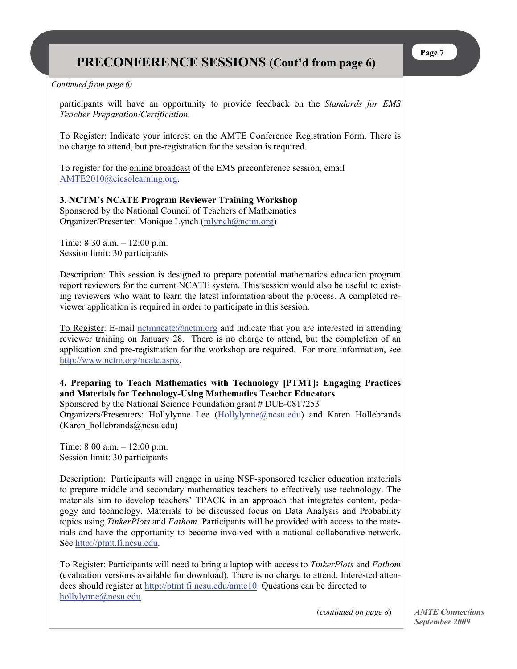# **PRECONFERENCE SESSIONS (Cont'd from page 6)**

*Continued from page 6)* 

participants will have an opportunity to provide feedback on the *Standards for EMS Teacher Preparation/Certification.*

To Register: Indicate your interest on the AMTE Conference Registration Form. There is no charge to attend, but pre-registration for the session is required.

To register for the online broadcast of the EMS preconference session, email [AMTE2010@cicsolearning.org](mailto:AMTE2010@cicsolearning.org).

#### **3. NCTM's NCATE Program Reviewer Training Workshop**  Sponsored by the National Council of Teachers of Mathematics

Organizer/Presenter: Monique Lynch [\(mlynch@nctm.org](mailto:mlynch@nctm.org))

Time: 8:30 a.m. – 12:00 p.m. Session limit: 30 participants

Description: This session is designed to prepare potential mathematics education program report reviewers for the current NCATE system. This session would also be useful to existing reviewers who want to learn the latest information about the process. A completed reviewer application is required in order to participate in this session.

To Register: E-mail nctmncate $@nctm.org$  and indicate that you are interested in attending reviewer training on January 28. There is no charge to attend, but the completion of an application and pre-registration for the workshop are required. For more information, see <http://www.nctm.org/ncate.aspx>.

**4. Preparing to Teach Mathematics with Technology [PTMT]: Engaging Practices and Materials for Technology-Using Mathematics Teacher Educators** 

Sponsored by the National Science Foundation grant # DUE-0817253 Organizers/Presenters: Hollylynne Lee [\(Hollylynne@ncsu.edu](mailto:Hollylynne@ncsu.edu)) and Karen Hollebrands (Karen\_hollebrands@ncsu.edu)

Time: 8:00 a.m. – 12:00 p.m. Session limit: 30 participants

Description: Participants will engage in using NSF-sponsored teacher education materials to prepare middle and secondary mathematics teachers to effectively use technology. The materials aim to develop teachers' TPACK in an approach that integrates content, pedagogy and technology. Materials to be discussed focus on Data Analysis and Probability topics using *TinkerPlots* and *Fathom*. Participants will be provided with access to the materials and have the opportunity to become involved with a national collaborative network. See [http://ptmt.fi.ncsu.edu](http://ptmt.fi.ncsu.edu/).

To Register: Participants will need to bring a laptop with access to *TinkerPlots* and *Fathom*  (evaluation versions available for download). There is no charge to attend. Interested attendees should register at<http://ptmt.fi.ncsu.edu/amte10>. Questions can be directed to [hollylynne@ncsu.edu](mailto:hollylynne@ncsu.edu).

(*continued on page 8*)

*AMTE Connections September 2009*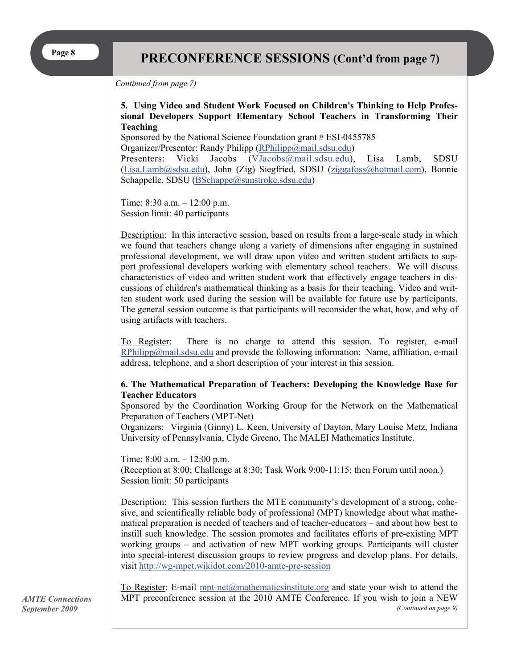#### *Continued from page 7)*

#### **5. Using Video and Student Work Focused on Children's Thinking to Help Professional Developers Support Elementary School Teachers in Transforming Their Teaching**

Sponsored by the National Science Foundation grant # ESI-0455785 Organizer/Presenter: Randy Philipp ([RPhilipp@mail.sdsu.edu](mailto:RPhilipp@mail.sdsu.edu))

Presenters: Vicki Jacobs ([VJacobs@mail.sdsu.edu](mailto:VJacobs@mail.sdsu.edu)), Lisa Lamb, SDSU ([Lisa.Lamb@sdsu.edu](mailto:Lisa.Lamb@sdsu.edu)), John (Zig) Siegfried, SDSU [\(ziggafoss@hotmail.com\)](mailto:ziggafoss@hotmail.com), Bonnie Schappelle, SDSU [\(BSchappe@sunstroke.sdsu.edu](mailto:BSchappe@sunstroke.sdsu.edu))

Time: 8:30 a.m. – 12:00 p.m. Session limit: 40 participants

Description: In this interactive session, based on results from a large-scale study in which we found that teachers change along a variety of dimensions after engaging in sustained professional development, we will draw upon video and written student artifacts to support professional developers working with elementary school teachers. We will discuss characteristics of video and written student work that effectively engage teachers in discussions of children's mathematical thinking as a basis for their teaching. Video and written student work used during the session will be available for future use by participants. The general session outcome is that participants will reconsider the what, how, and why of using artifacts with teachers.

To Register: There is no charge to attend this session. To register, e-mail  $RPhilipp@mail.sdsu.edu$  and provide the following information: Name, affiliation, e-mail address, telephone, and a short description of your interest in this session.

#### **6. The Mathematical Preparation of Teachers: Developing the Knowledge Base for Teacher Educators**

Sponsored by the Coordination Working Group for the Network on the Mathematical Preparation of Teachers (MPT-Net)

Organizers:Virginia (Ginny) L. Keen, University of Dayton, Mary Louise Metz, Indiana University of Pennsylvania, Clyde Greeno, The MALEI Mathematics Institute.

Time: 8:00 a.m. – 12:00 p.m. (Reception at 8:00; Challenge at 8:30; Task Work 9:00-11:15; then Forum until noon.) Session limit: 50 participants

Description: This session furthers the MTE community's development of a strong, cohesive, and scientifically reliable body of professional (MPT) knowledge about what mathematical preparation is needed of teachers and of teacher-educators – and about how best to instill such knowledge. The session promotes and facilitates efforts of pre-existing MPT working groups – and activation of new MPT working groups. Participants will cluster into special-interest discussion groups to review progress and develop plans. For details, visit <http://wg-mpet.wikidot.com/2010-amte-pre-session>

*AMTE Connections September 2009*

To Register: E-mail [mpt-net@mathematicsinstitute.org](mailto:mpt-net@mathematicsinstitute.org) and state your wish to attend the MPT preconference session at the 2010 AMTE Conference. If you wish to join a NEW *(Continued on page 9)*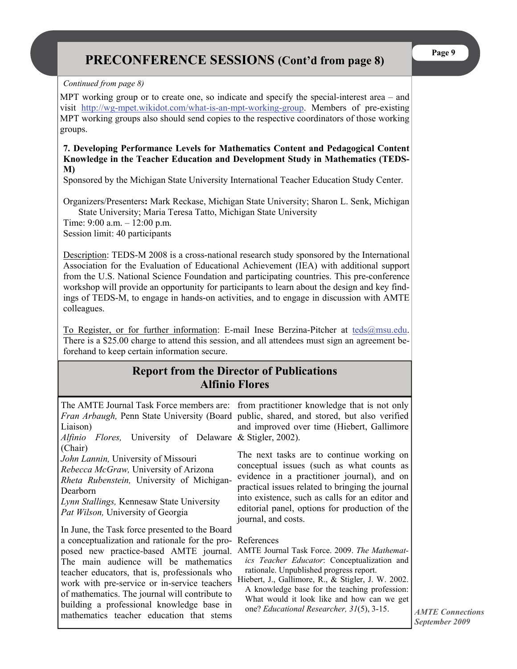#### *Continued from page 8)*

MPT working group or to create one, so indicate and specify the special-interest area – and visit <http://wg-mpet.wikidot.com/what-is-an-mpt-working-group>. Members of pre-existing MPT working groups also should send copies to the respective coordinators of those working groups.

#### **7. Developing Performance Levels for Mathematics Content and Pedagogical Content Knowledge in the Teacher Education and Development Study in Mathematics (TEDS-M)**

Sponsored by the Michigan State University International Teacher Education Study Center.

Organizers/Presenters**:** Mark Reckase, Michigan State University; Sharon L. Senk, Michigan State University; Maria Teresa Tatto, Michigan State University Time: 9:00 a.m. – 12:00 p.m.

Session limit: 40 participants

Description: TEDS-M 2008 is a cross-national research study sponsored by the International Association for the Evaluation of Educational Achievement (IEA) with additional support from the U.S. National Science Foundation and participating countries. This pre-conference workshop will provide an opportunity for participants to learn about the design and key findings of TEDS-M, to engage in hands-on activities, and to engage in discussion with AMTE colleagues.

To Register, or for further information: E-mail Inese Berzina-Pitcher at [teds@msu.edu](mailto:teds@msu.edu). There is a \$25.00 charge to attend this session, and all attendees must sign an agreement beforehand to keep certain information secure.

### **Report from the Director of Publications Alfinio Flores**

| Liaison)                                                                                                                                                                                                                                                                                                                                                                                                                        | The AMTE Journal Task Force members are: from practitioner knowledge that is not only                                                                                                                                                                                                                                                                          |
|---------------------------------------------------------------------------------------------------------------------------------------------------------------------------------------------------------------------------------------------------------------------------------------------------------------------------------------------------------------------------------------------------------------------------------|----------------------------------------------------------------------------------------------------------------------------------------------------------------------------------------------------------------------------------------------------------------------------------------------------------------------------------------------------------------|
| Alfinio                                                                                                                                                                                                                                                                                                                                                                                                                         | <i>Fran Arbaugh</i> , Penn State University (Board public, shared, and stored, but also verified                                                                                                                                                                                                                                                               |
| <i>Flores</i> , University of Delaware & Stigler, 2002).                                                                                                                                                                                                                                                                                                                                                                        | and improved over time (Hiebert, Gallimore                                                                                                                                                                                                                                                                                                                     |
| (Chair)                                                                                                                                                                                                                                                                                                                                                                                                                         | The next tasks are to continue working on                                                                                                                                                                                                                                                                                                                      |
| John Lannin, University of Missouri                                                                                                                                                                                                                                                                                                                                                                                             | conceptual issues (such as what counts as                                                                                                                                                                                                                                                                                                                      |
| Rebecca McGraw, University of Arizona                                                                                                                                                                                                                                                                                                                                                                                           | evidence in a practitioner journal), and on                                                                                                                                                                                                                                                                                                                    |
| <i>Rheta Rubenstein</i> , University of Michigan-                                                                                                                                                                                                                                                                                                                                                                               | practical issues related to bringing the journal                                                                                                                                                                                                                                                                                                               |
| Dearborn                                                                                                                                                                                                                                                                                                                                                                                                                        | into existence, such as calls for an editor and                                                                                                                                                                                                                                                                                                                |
| Lynn Stallings, Kennesaw State University                                                                                                                                                                                                                                                                                                                                                                                       | editorial panel, options for production of the                                                                                                                                                                                                                                                                                                                 |
| <i>Pat Wilson</i> , University of Georgia                                                                                                                                                                                                                                                                                                                                                                                       | journal, and costs.                                                                                                                                                                                                                                                                                                                                            |
| In June, the Task force presented to the Board<br>a conceptualization and rationale for the pro-<br>posed new practice-based AMTE journal.<br>The main audience will be mathematics<br>teacher educators, that is, professionals who<br>work with pre-service or in-service teachers<br>of mathematics. The journal will contribute to<br>building a professional knowledge base in<br>mathematics teacher education that stems | References<br>AMTE Journal Task Force. 2009. The Mathemat-<br><i>ics Teacher Educator</i> : Conceptualization and<br>rationale. Unpublished progress report.<br>Hiebert, J., Gallimore, R., & Stigler, J. W. 2002.<br>A knowledge base for the teaching profession:<br>What would it look like and how can we get<br>one? Educational Researcher, 31(5), 3-15. |

*AMTE Connections September 2009*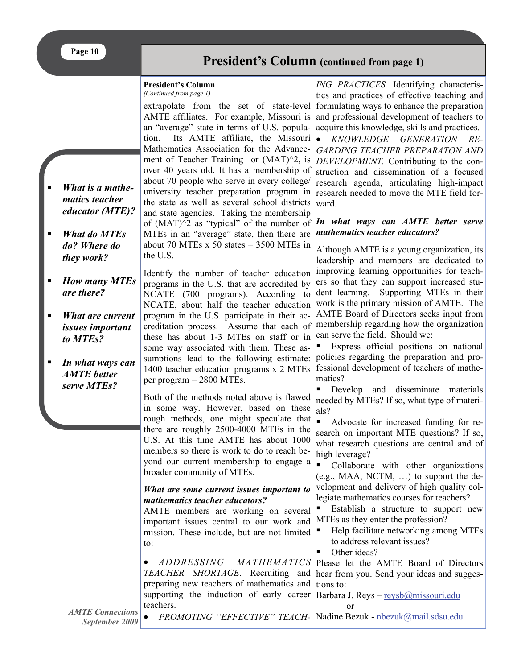*What is a mathematics teacher educator (MTE)?* 

*What do MTEs do? Where do they work?* 

*are there?* 

*to MTEs?* 

*AMTE better serve MTEs?* 

*issues important* 

### **President's Column (continued from page 1)**

#### **President's Column**

*(Continued from page 1)* 

extrapolate from the set of state-level formulating ways to enhance the preparation AMTE affiliates. For example, Missouri is and professional development of teachers to an "average" state in terms of U.S. popula-acquire this knowledge, skills and practices. tion. Its AMTE affiliate, the Missouri Mathematics Association for the Advance-*GARDING TEACHER PREPARATON AND*  ment of Teacher Training or (MAT)<sup>^2</sup>, is *DEVELOPMENT*. Contributing to the conover 40 years old. It has a membership of about 70 people who serve in every college/ research agenda, articulating high-impact university teacher preparation program in research needed to move the MTE field forthe state as well as several school districts ward. and state agencies. Taking the membership of  $(MAT)^2$  as "typical" of the number of In what ways can AMTE better serve

MTEs in an "average" state, then there are *mathematics teacher educators?*  about 70 MTEs x 50 states  $=$  3500 MTEs in the U.S.

Identify the number of teacher education programs in the U.S. that are accredited by ers so that they can support increased stu-NCATE (700 programs). According to these has about 1-3 MTEs on staff or in can serve the field. Should we: some way associated with them. These assumptions lead to the following estimate: policies regarding the preparation and pro-1400 teacher education programs x 2 MTEs fessional development of teachers of matheper program = 2800 MTEs. *How many MTEs What are current In what ways can* 

> Both of the methods noted above is flawed in some way. However, based on these rough methods, one might speculate that there are roughly 2500-4000 MTEs in the U.S. At this time AMTE has about 1000 members so there is work to do to reach beyond our current membership to engage a broader community of MTEs.

#### *What are some current issues important to mathematics teacher educators?*

AMTE members are working on several important issues central to our work and MTEs as they enter the profession? mission. These include, but are not limited to:

 *ADDRESSING MATHEMATICS*  Please let the AMTE Board of Directors *TEACHER SHORTAGE*. Recruiting and hear from you. Send your ideas and suggespreparing new teachers of mathematics and tions to: supporting the induction of early career Barbara J. Reys - [reysb@missouri.edu](mailto:reysb@missouri.edu) teachers.

*ING PRACTICES.* Identifying characteristics and practices of effective teaching and

 *KNOWLEDGE GENERATION RE*struction and dissemination of a focused

NCATE, about half the teacher education work is the primary mission of AMTE. The program in the U.S. participate in their ac-AMTE Board of Directors seeks input from creditation process. Assume that each of membership regarding how the organization Although AMTE is a young organization, its leadership and members are dedicated to improving learning opportunities for teachdent learning. Supporting MTEs in their

> Express official positions on national matics?

Develop and disseminate materials needed by MTEs? If so, what type of materials?

Advocate for increased funding for research on important MTE questions? If so, what research questions are central and of high leverage?

• Collaborate with other organizations (e.g., MAA, NCTM, …) to support the development and delivery of high quality collegiate mathematics courses for teachers?

Establish a structure to support new

- Help facilitate networking among MTEs to address relevant issues?
- Other ideas?

or

*AMTE Connections September 2009* 

• PROMOTING "EFFECTIVE" TEACH- Nadine Bezuk - [nbezuk@mail.sdsu.edu](mailto:nbezuk@mail.sdsu.edu)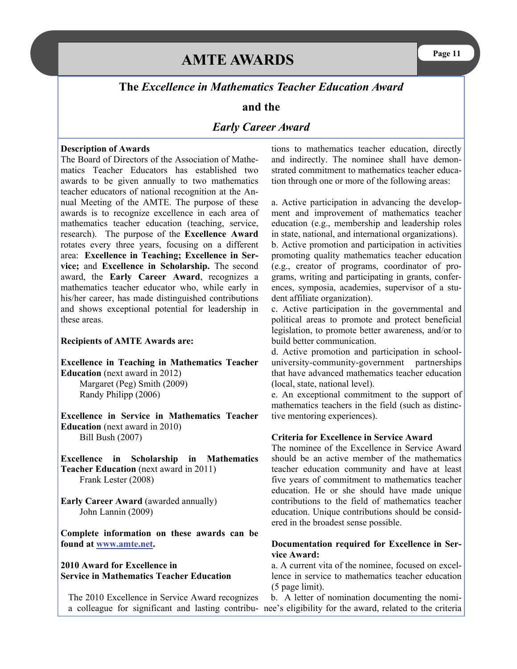#### **The** *Excellence in Mathematics Teacher Education Award*

#### **and the**

#### *Early Career Award*

#### **Description of Awards**

The Board of Directors of the Association of Mathematics Teacher Educators has established two awards to be given annually to two mathematics teacher educators of national recognition at the Annual Meeting of the AMTE. The purpose of these awards is to recognize excellence in each area of mathematics teacher education (teaching, service, research). The purpose of the **Excellence Award** rotates every three years, focusing on a different area: **Excellence in Teaching; Excellence in Service;** and **Excellence in Scholarship.** The second award, the **Early Career Award**, recognizes a mathematics teacher educator who, while early in his/her career, has made distinguished contributions and shows exceptional potential for leadership in these areas.

#### **Recipients of AMTE Awards are:**

**Excellence in Teaching in Mathematics Teacher Education** (next award in 2012) Margaret (Peg) Smith (2009) Randy Philipp (2006)

**Excellence in Service in Mathematics Teacher Education** (next award in 2010) Bill Bush (2007)

**Excellence in Scholarship in Mathematics Teacher Education** (next award in 2011) Frank Lester (2008)

**Early Career Award** (awarded annually) John Lannin (2009)

**Complete information on these awards can be found at [www.amte.net](http://www.amte.net/).** 

#### **2010 Award for Excellence in Service in Mathematics Teacher Education**

The 2010 Excellence in Service Award recognizes a colleague for significant and lasting contribu-nee's eligibility for the award, related to the criteria

tions to mathematics teacher education, directly and indirectly. The nominee shall have demonstrated commitment to mathematics teacher education through one or more of the following areas:

a. Active participation in advancing the development and improvement of mathematics teacher education (e.g., membership and leadership roles in state, national, and international organizations). b. Active promotion and participation in activities promoting quality mathematics teacher education (e.g., creator of programs, coordinator of programs, writing and participating in grants, conferences, symposia, academies, supervisor of a student affiliate organization).

c. Active participation in the governmental and political areas to promote and protect beneficial legislation, to promote better awareness, and/or to build better communication.

d. Active promotion and participation in schooluniversity-community-government partnerships that have advanced mathematics teacher education (local, state, national level).

e. An exceptional commitment to the support of mathematics teachers in the field (such as distinctive mentoring experiences).

#### **Criteria for Excellence in Service Award**

The nominee of the Excellence in Service Award should be an active member of the mathematics teacher education community and have at least five years of commitment to mathematics teacher education. He or she should have made unique contributions to the field of mathematics teacher education. Unique contributions should be considered in the broadest sense possible.

#### **Documentation required for Excellence in Service Award:**

a. A current vita of the nominee, focused on excellence in service to mathematics teacher education (5 page limit).

b. A letter of nomination documenting the nomi-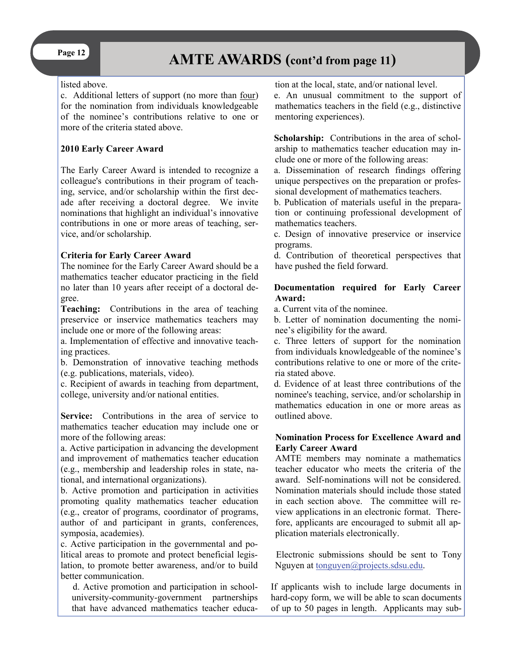# Page 12 **AMTE AWARDS** (cont'd from page 11)

#### listed above.

c. Additional letters of support (no more than four) for the nomination from individuals knowledgeable of the nominee's contributions relative to one or more of the criteria stated above.

#### **2010 Early Career Award**

The Early Career Award is intended to recognize a colleague's contributions in their program of teaching, service, and/or scholarship within the first decade after receiving a doctoral degree. We invite nominations that highlight an individual's innovative contributions in one or more areas of teaching, service, and/or scholarship.

#### **Criteria for Early Career Award**

The nominee for the Early Career Award should be a mathematics teacher educator practicing in the field no later than 10 years after receipt of a doctoral degree.

**Teaching:** Contributions in the area of teaching preservice or inservice mathematics teachers may include one or more of the following areas:

a. Implementation of effective and innovative teaching practices.

b. Demonstration of innovative teaching methods (e.g. publications, materials, video).

c. Recipient of awards in teaching from department, college, university and/or national entities.

Service: Contributions in the area of service to mathematics teacher education may include one or more of the following areas:

a. Active participation in advancing the development and improvement of mathematics teacher education (e.g., membership and leadership roles in state, national, and international organizations).

b. Active promotion and participation in activities promoting quality mathematics teacher education (e.g., creator of programs, coordinator of programs, author of and participant in grants, conferences, symposia, academies).

c. Active participation in the governmental and political areas to promote and protect beneficial legislation, to promote better awareness, and/or to build better communication.

d. Active promotion and participation in schooluniversity-community-government partnerships that have advanced mathematics teacher education at the local, state, and/or national level.

e. An unusual commitment to the support of mathematics teachers in the field (e.g., distinctive mentoring experiences).

**Scholarship:** Contributions in the area of scholarship to mathematics teacher education may include one or more of the following areas:

a. Dissemination of research findings offering unique perspectives on the preparation or professional development of mathematics teachers.

b. Publication of materials useful in the preparation or continuing professional development of mathematics teachers.

c. Design of innovative preservice or inservice programs.

d. Contribution of theoretical perspectives that have pushed the field forward.

#### **Documentation required for Early Career Award:**

a. Current vita of the nominee.

b. Letter of nomination documenting the nominee's eligibility for the award.

c. Three letters of support for the nomination from individuals knowledgeable of the nominee's contributions relative to one or more of the criteria stated above.

d. Evidence of at least three contributions of the nominee's teaching, service, and/or scholarship in mathematics education in one or more areas as outlined above.

#### **Nomination Process for Excellence Award and Early Career Award**

AMTE members may nominate a mathematics teacher educator who meets the criteria of the award. Self-nominations will not be considered. Nomination materials should include those stated in each section above. The committee will review applications in an electronic format. Therefore, applicants are encouraged to submit all application materials electronically.

Electronic submissions should be sent to Tony Nguyen at [tonguyen@projects.sdsu.edu](mailto:tonguyen@projects.sdsu.edu).

If applicants wish to include large documents in hard-copy form, we will be able to scan documents of up to 50 pages in length. Applicants may sub-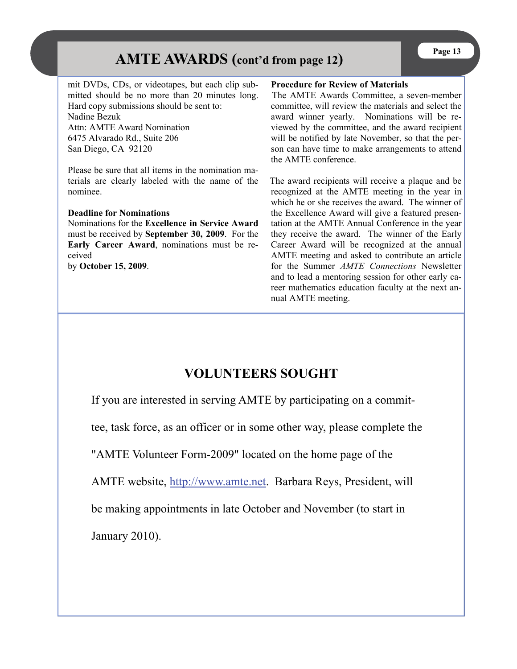# **Page 13** AMTE AWARDS (cont'd from page 12)

mit DVDs, CDs, or videotapes, but each clip submitted should be no more than 20 minutes long. Hard copy submissions should be sent to: Nadine Bezuk Attn: AMTE Award Nomination 6475 Alvarado Rd., Suite 206

San Diego, CA 92120

Please be sure that all items in the nomination materials are clearly labeled with the name of the nominee.

#### **Deadline for Nominations**

Nominations for the **Excellence in Service Award** must be received by **September 30, 2009**. For the **Early Career Award**, nominations must be received

by **October 15, 2009**.

#### **Procedure for Review of Materials**

The AMTE Awards Committee, a seven-member committee, will review the materials and select the award winner yearly. Nominations will be reviewed by the committee, and the award recipient will be notified by late November, so that the person can have time to make arrangements to attend the AMTE conference.

The award recipients will receive a plaque and be recognized at the AMTE meeting in the year in which he or she receives the award. The winner of the Excellence Award will give a featured presentation at the AMTE Annual Conference in the year they receive the award. The winner of the Early Career Award will be recognized at the annual AMTE meeting and asked to contribute an article for the Summer *AMTE Connections* Newsletter and to lead a mentoring session for other early career mathematics education faculty at the next annual AMTE meeting.

# **VOLUNTEERS SOUGHT**

If you are interested in serving AMTE by participating on a commit-

tee, task force, as an officer or in some other way, please complete the

"AMTE Volunteer Form-2009" located on the home page of the

AMTE website, <http://www.amte.net>. Barbara Reys, President, will

be making appointments in late October and November (to start in

January 2010).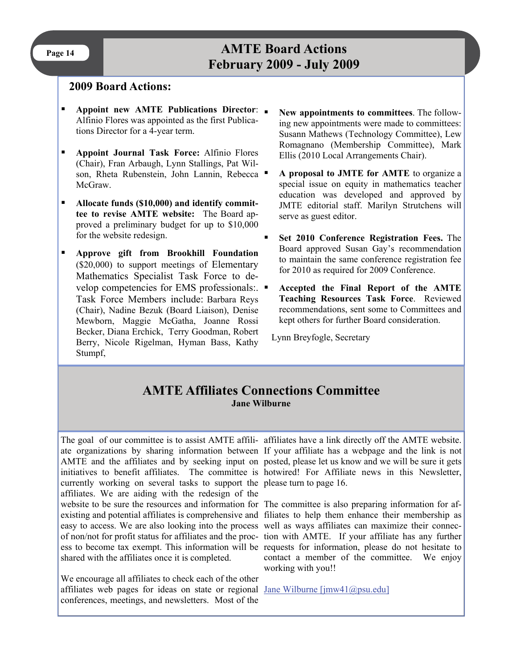# **Page 14 AMTE Board Actions February 2009 - July 2009**

#### **2009 Board Actions:**

- **Appoint new AMTE Publications Director**: Alfinio Flores was appointed as the first Publications Director for a 4-year term.
- **Appoint Journal Task Force:** Alfinio Flores (Chair), Fran Arbaugh, Lynn Stallings, Pat Wilson, Rheta Rubenstein, John Lannin, Rebecca McGraw.
- **Allocate funds (\$10,000) and identify committee to revise AMTE website:** The Board approved a preliminary budget for up to \$10,000 for the website redesign.
- **Approve gift from Brookhill Foundation**  (\$20,000) to support meetings of Elementary Mathematics Specialist Task Force to develop competencies for EMS professionals:. Task Force Members include: Barbara Reys (Chair), Nadine Bezuk (Board Liaison), Denise Mewborn, Maggie McGatha, Joanne Rossi Becker, Diana Erchick, Terry Goodman, Robert Berry, Nicole Rigelman, Hyman Bass, Kathy Stumpf,
- **New appointments to committees**. The following new appointments were made to committees: Susann Mathews (Technology Committee), Lew Romagnano (Membership Committee), Mark Ellis (2010 Local Arrangements Chair).
- **A proposal to JMTE for AMTE** to organize a special issue on equity in mathematics teacher education was developed and approved by JMTE editorial staff. Marilyn Strutchens will serve as guest editor.
- **Set 2010 Conference Registration Fees.** The Board approved Susan Gay's recommendation to maintain the same conference registration fee for 2010 as required for 2009 Conference.
- **Accepted the Final Report of the AMTE Teaching Resources Task Force**. Reviewed recommendations, sent some to Committees and kept others for further Board consideration.

Lynn Breyfogle, Secretary

### **AMTE Affiliates Connections Committee Jane Wilburne**

currently working on several tasks to support the please turn to page 16. affiliates. We are aiding with the redesign of the website to be sure the resources and information for The committee is also preparing information for afexisting and potential affiliates is comprehensive and filiates to help them enhance their membership as easy to access. We are also looking into the process well as ways affiliates can maximize their connecof non/not for profit status for affiliates and the proc-tion with AMTE. If your affiliate has any further ess to become tax exempt. This information will be requests for information, please do not hesitate to shared with the affiliates once it is completed.

We encourage all affiliates to check each of the other affiliates web pages for ideas on state or regional [Jane Wilburne \[jmw41@psu.edu\]](mailto:Jane%20Wilburne%20[jmw41@psu.edu]) conferences, meetings, and newsletters. Most of the

The goal of our committee is to assist AMTE affili- affiliates have a link directly off the AMTE website. ate organizations by sharing information between If your affiliate has a webpage and the link is not AMTE and the affiliates and by seeking input on posted, please let us know and we will be sure it gets initiatives to benefit affiliates. The committee is hotwired! For Affiliate news in this Newsletter,

> contact a member of the committee. We enjoy working with you!!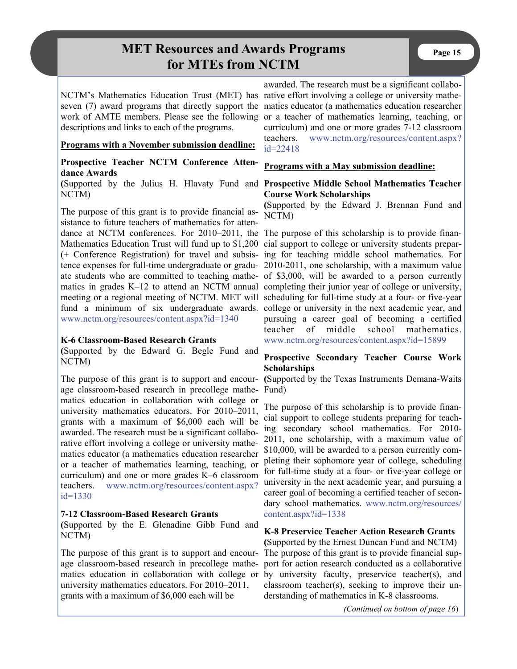# **MET Resources and Awards Programs** Page 15 **for MTEs from NCTM**

descriptions and links to each of the programs.

#### **Programs with a November submission deadline:**

#### **Prospective Teacher NCTM Conference Attendance Awards**

**(**Supported by the Julius H. Hlavaty Fund and **Prospective Middle School Mathematics Teacher**  NCTM)

The purpose of this grant is to provide financial assistance to future teachers of mathematics for attendance at NCTM conferences. For 2010–2011, the The purpose of this scholarship is to provide finan-Mathematics Education Trust will fund up to \$1,200 cial support to college or university students prepar[www.nctm.org/resources/content.aspx?id=1340](http://www.nctm.org/resources/content.aspx?id=1340)

#### **K-6 Classroom-Based Research Grants**

**(**Supported by the Edward G. Begle Fund and NCTM)

The purpose of this grant is to support and encour-**(**Supported by the Texas Instruments Demana-Waits age classroom-based research in precollege mathe-Fund) matics education in collaboration with college or university mathematics educators. For 2010–2011, grants with a maximum of \$6,000 each will be awarded. The research must be a significant collaborative effort involving a college or university mathematics educator (a mathematics education researcher or a teacher of mathematics learning, teaching, or curriculum) and one or more grades K–6 classroom teachers. [www.nctm.org/resources/content.aspx?](http://www.nctm.org/resources/content.aspx?id=1330) [id=1330](http://www.nctm.org/resources/content.aspx?id=1330)

#### **7-12 Classroom-Based Research Grants**

**(**Supported by the E. Glenadine Gibb Fund and NCTM)

The purpose of this grant is to support and encourage classroom-based research in precollege mathematics education in collaboration with college or university mathematics educators. For 2010–2011, grants with a maximum of \$6,000 each will be

NCTM's Mathematics Education Trust (MET) has rative effort involving a college or university matheseven (7) award programs that directly support the matics educator (a mathematics education researcher work of AMTE members. Please see the following or a teacher of mathematics learning, teaching, or awarded. The research must be a significant collabocurriculum) and one or more grades 7-12 classroom teachers. [www.nctm.org/resources/content.aspx?](http://www.nctm.org/resources/content.aspx?id=22418) [id=22418](http://www.nctm.org/resources/content.aspx?id=22418)

#### **Programs with a May submission deadline:**

# **Course Work Scholarships**

**(**Supported by the Edward J. Brennan Fund and NCTM)

(+ Conference Registration) for travel and subsis-ing for teaching middle school mathematics. For tence expenses for full-time undergraduate or gradu-2010-2011, one scholarship, with a maximum value ate students who are committed to teaching mathe-of \$3,000, will be awarded to a person currently matics in grades K-12 to attend an NCTM annual completing their junior year of college or university, meeting or a regional meeting of NCTM. MET will scheduling for full-time study at a four- or five-year fund a minimum of six undergraduate awards. college or university in the next academic year, and pursuing a career goal of becoming a certified teacher of middle school mathematics. [www.nctm.org/resources/content.aspx?id=15899](http://www.nctm.org/resources/content.aspx?id=15899)

#### **Prospective Secondary Teacher Course Work Scholarships**

The purpose of this scholarship is to provide financial support to college students preparing for teaching secondary school mathematics. For 2010- 2011, one scholarship, with a maximum value of \$10,000, will be awarded to a person currently completing their sophomore year of college, scheduling for full-time study at a four- or five-year college or university in the next academic year, and pursuing a career goal of becoming a certified teacher of secondary school mathematics. [www.nctm.org/resources/](http://www.nctm.org/resources/content.aspx?id=1338) [content.aspx?id=1338](http://www.nctm.org/resources/content.aspx?id=1338)

#### **K-8 Preservice Teacher Action Research Grants**

**(**Supported by the Ernest Duncan Fund and NCTM) The purpose of this grant is to provide financial support for action research conducted as a collaborative by university faculty, preservice teacher(s), and classroom teacher(s), seeking to improve their understanding of mathematics in K-8 classrooms.

*(Continued on bottom of page 16*)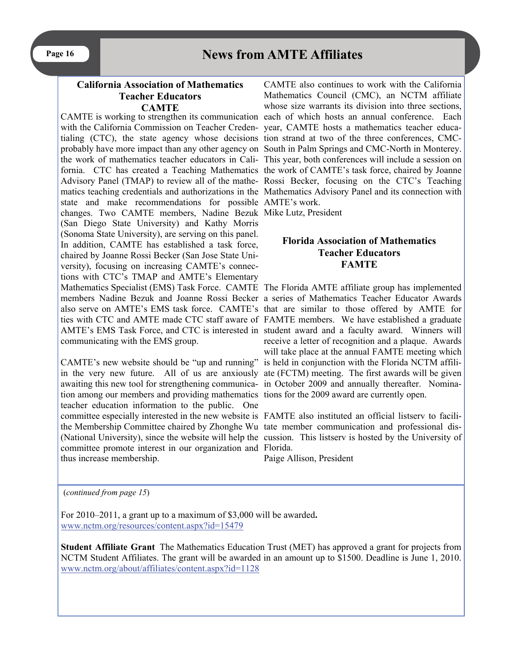#### **California Association of Mathematics Teacher Educators CAMTE**

with the California Commission on Teacher Creden-year, CAMTE hosts a mathematics teacher educatialing (CTC), the state agency whose decisions tion strand at two of the three conferences, CMCstate and make recommendations for possible AMTE's work. changes. Two CAMTE members, Nadine Bezuk Mike Lutz, President (San Diego State University) and Kathy Morris (Sonoma State University), are serving on this panel. In addition, CAMTE has established a task force, chaired by Joanne Rossi Becker (San Jose State University), focusing on increasing CAMTE's connections with CTC's TMAP and AMTE's Elementary Mathematics Specialist (EMS) Task Force. CAMTE The Florida AMTE affiliate group has implemented communicating with the EMS group.

awaiting this new tool for strengthening communica-in October 2009 and annually thereafter. Nomination among our members and providing mathematics tions for the 2009 award are currently open. teacher education information to the public. One committee especially interested in the new website is FAMTE also instituted an official listserv to facilithe Membership Committee chaired by Zhonghe Wu tate member communication and professional discommittee promote interest in our organization and Florida. thus increase membership.

CAMTE is working to strengthen its communication each of which hosts an annual conference. Each probably have more impact than any other agency on South in Palm Springs and CMC-North in Monterey. the work of mathematics teacher educators in Cali-This year, both conferences will include a session on fornia. CTC has created a Teaching Mathematics the work of CAMTE's task force, chaired by Joanne Advisory Panel (TMAP) to review all of the mathe-Rossi Becker, focusing on the CTC's Teaching matics teaching credentials and authorizations in the Mathematics Advisory Panel and its connection with CAMTE also continues to work with the California Mathematics Council (CMC), an NCTM affiliate whose size warrants its division into three sections,

#### **Florida Association of Mathematics Teacher Educators FAMTE**

members Nadine Bezuk and Joanne Rossi Becker a series of Mathematics Teacher Educator Awards also serve on AMTE's EMS task force. CAMTE's that are similar to those offered by AMTE for ties with CTC and AMTE made CTC staff aware of FAMTE members. We have established a graduate AMTE's EMS Task Force, and CTC is interested in student award and a faculty award. Winners will CAMTE's new website should be "up and running" is held in conjunction with the Florida NCTM affiliin the very new future. All of us are anxiously ate (FCTM) meeting. The first awards will be given receive a letter of recognition and a plaque. Awards will take place at the annual FAMTE meeting which

(National University), since the website will help the cussion. This listserv is hosted by the University of

Paige Allison, President

(*continued from page 15*)

For 2010–2011, a grant up to a maximum of \$3,000 will be awarded**.** [www.nctm.org/resources/content.aspx?id=15479](http://www.nctm.org/resources/content.aspx?id=15479)

**Student Affiliate Grant** The Mathematics Education Trust (MET) has approved a grant for projects from NCTM Student Affiliates. The grant will be awarded in an amount up to \$1500. Deadline is June 1, 2010. [www.nctm.org/about/affiliates/content.aspx?id=1128](http://www.nctm.org/about/affiliates/content.aspx?id=1128)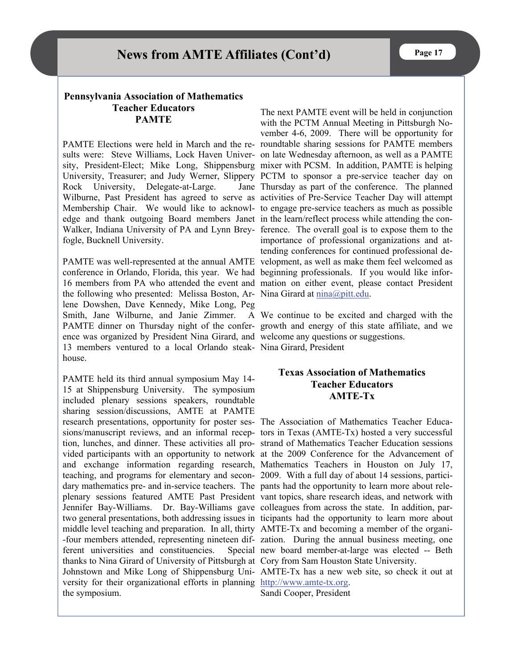#### **Pennsylvania Association of Mathematics Teacher Educators PAMTE**

PAMTE Elections were held in March and the re-roundtable sharing sessions for PAMTE members sults were: Steve Williams, Lock Haven Univer-on late Wednesday afternoon, as well as a PAMTE sity, President-Elect; Mike Long, Shippensburg mixer with PCSM. In addition, PAMTE is helping University, Treasurer; and Judy Werner, Slippery PCTM to sponsor a pre-service teacher day on Rock University, Delegate-at-Large. Wilburne, Past President has agreed to serve as activities of Pre-Service Teacher Day will attempt Membership Chair. We would like to acknowl-to engage pre-service teachers as much as possible edge and thank outgoing Board members Janet in the learn/reflect process while attending the con-Walker, Indiana University of PA and Lynn Brey-ference. The overall goal is to expose them to the fogle, Bucknell University.

conference in Orlando, Florida, this year. We had beginning professionals. If you would like infor-16 members from PA who attended the event and mation on either event, please contact President the following who presented: Melissa Boston, Ar- Nina Girard at  $\frac{\text{nina}(\partial \rho)$ itt.edu. lene Dowshen, Dave Kennedy, Mike Long, Peg Smith, Jane Wilburne, and Janie Zimmer. A We continue to be excited and charged with the PAMTE dinner on Thursday night of the confer-growth and energy of this state affiliate, and we ence was organized by President Nina Girard, and welcome any questions or suggestions. 13 members ventured to a local Orlando steak-Nina Girard, President house.

PAMTE held its third annual symposium May 14- 15 at Shippensburg University. The symposium included plenary sessions speakers, roundtable sharing session/discussions, AMTE at PAMTE research presentations, opportunity for poster ses-The Association of Mathematics Teacher Educasions/manuscript reviews, and an informal recep-tors in Texas (AMTE-Tx) hosted a very successful tion, lunches, and dinner. These activities all pro-strand of Mathematics Teacher Education sessions vided participants with an opportunity to network at the 2009 Conference for the Advancement of and exchange information regarding research, Mathematics Teachers in Houston on July 17, teaching, and programs for elementary and secon-2009. With a full day of about 14 sessions, particidary mathematics pre- and in-service teachers. The pants had the opportunity to learn more about releplenary sessions featured AMTE Past President vant topics, share research ideas, and network with Jennifer Bay-Williams. Dr. Bay-Williams gave colleagues from across the state. In addition, partwo general presentations, both addressing issues in ticipants had the opportunity to learn more about middle level teaching and preparation. In all, thirty AMTE-Tx and becoming a member of the organi--four members attended, representing nineteen dif-zation. During the annual business meeting, one ferent universities and constituencies. thanks to Nina Girard of University of Pittsburgh at Cory from Sam Houston State University. Johnstown and Mike Long of Shippensburg Uni-AMTE-Tx has a new web site, so check it out at versity for their organizational efforts in planning [http://www.amte-tx.org](https://connect.wsu.edu/exchweb/bin/redir.asp?URL=http://www.amte-tx.org). the symposium.

PAMTE was well-represented at the annual AMTE velopment, as well as make them feel welcomed as The next PAMTE event will be held in conjunction with the PCTM Annual Meeting in Pittsburgh November 4-6, 2009. There will be opportunity for Jane Thursday as part of the conference. The planned importance of professional organizations and attending conferences for continued professional de-

#### **Texas Association of Mathematics Teacher Educators AMTE-Tx**

Special new board member-at-large was elected -- Beth

Sandi Cooper, President